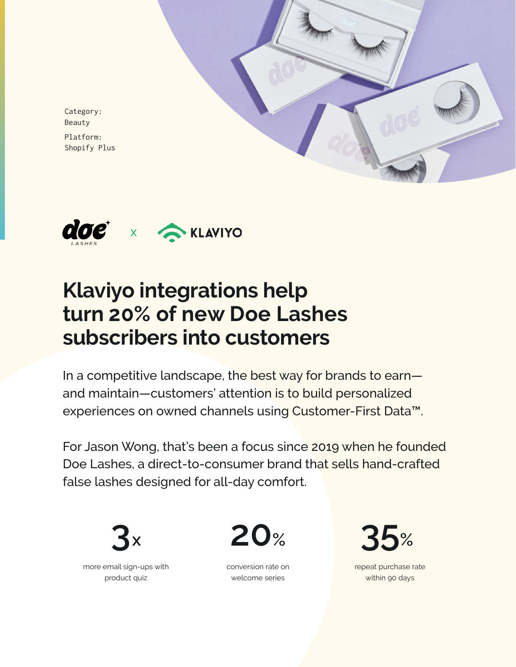

Category: Beauty Platform: Shopify Plus



# **Klaviyo integrations help turn 20% of new Doe Lashes subscribers into customers**

In a competitive landscape, the best way for brands to earn and maintain—customers' attention is to build personalized experiences on owned channels using Customer-First Data™.

For Jason Wong, that's been a focus since 2019 when he founded Doe Lashes, a direct-to-consumer brand that sells hand-crafted false lashes designed for all-day comfort.





repeat purchase rate within 90 days